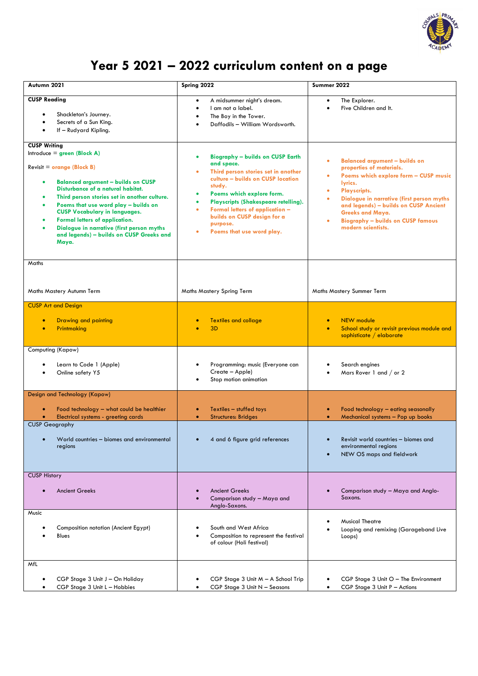

## **Year 5 2021 – 2022 curriculum content on a page**

| Autumn 2021                                                                                                                                                                                                                                                                                                                                                                                                                              | Spring 2022                                                                                                                                                                                                                                                                                                                                | Summer 2022                                                                                                                                                                                                                                                                                                                                                              |
|------------------------------------------------------------------------------------------------------------------------------------------------------------------------------------------------------------------------------------------------------------------------------------------------------------------------------------------------------------------------------------------------------------------------------------------|--------------------------------------------------------------------------------------------------------------------------------------------------------------------------------------------------------------------------------------------------------------------------------------------------------------------------------------------|--------------------------------------------------------------------------------------------------------------------------------------------------------------------------------------------------------------------------------------------------------------------------------------------------------------------------------------------------------------------------|
| <b>CUSP Reading</b><br>Shackleton's Journey.<br>Secrets of a Sun King.<br>If - Rudyard Kipling.                                                                                                                                                                                                                                                                                                                                          | A midsummer night's dream.<br>$\bullet$<br>I am not a label.<br>The Boy in the Tower.<br>Daffodils - William Wordsworth.                                                                                                                                                                                                                   | The Explorer.<br>$\bullet$<br>Five Children and It.                                                                                                                                                                                                                                                                                                                      |
| <b>CUSP Writing</b><br>Introduce = $green (Block A)$<br>Revisit = orange (Block B)<br><b>Balanced argument - builds on CUSP</b><br>Disturbance of a natural habitat.<br>Third person stories set in another culture.<br>Poems that use word play - builds on<br><b>CUSP Vocabulary in languages.</b><br>Formal letters of application.<br>Dialogue in narrative (first person myths<br>and legends) - builds on CUSP Greeks and<br>Maya. | <b>Biography - builds on CUSP Earth</b><br>and space.<br>Third person stories set in another<br>culture - builds on CUSP location<br>study.<br>Poems which explore form.<br>٠<br>Playscripts (Shakespeare retelling).<br>٠<br>Formal letters of application -<br>ä<br>builds on CUSP design for a<br>purpose.<br>Poems that use word play. | <b>Balanced argument - builds on</b><br>$\bullet$<br>properties of materials.<br>Poems which explore form - CUSP music<br>٠<br>lyrics.<br>Playscripts.<br>۰<br>Dialogue in narrative (first person myths<br>$\bullet$<br>and legends) - builds on CUSP Ancient<br><b>Greeks and Maya.</b><br><b>Biography - builds on CUSP famous</b><br>$\bullet$<br>modern scientists. |
| Maths<br>Maths Mastery Autumn Term                                                                                                                                                                                                                                                                                                                                                                                                       | <b>Maths Mastery Spring Term</b>                                                                                                                                                                                                                                                                                                           | Maths Mastery Summer Term                                                                                                                                                                                                                                                                                                                                                |
| <b>CUSP Art and Design</b><br><b>Drawing and painting</b>                                                                                                                                                                                                                                                                                                                                                                                | <b>Textiles and collage</b>                                                                                                                                                                                                                                                                                                                | <b>NEW</b> module<br>$\bullet$                                                                                                                                                                                                                                                                                                                                           |
| Printmaking                                                                                                                                                                                                                                                                                                                                                                                                                              | 3 <sub>D</sub>                                                                                                                                                                                                                                                                                                                             | School study or revisit previous module and<br>$\bullet$<br>sophisticate / elaborate                                                                                                                                                                                                                                                                                     |
| Computing (Kapow)<br>Learn to Code 1 (Apple)<br>Online safety Y5                                                                                                                                                                                                                                                                                                                                                                         | Programming: music (Everyone can<br>Create - Apple)<br>Stop motion animation                                                                                                                                                                                                                                                               | Search engines<br>Mars Rover 1 and / or 2                                                                                                                                                                                                                                                                                                                                |
| Design and Technology (Kapow)<br>Food technology - what could be healthier<br>Electrical systems - greeting cards                                                                                                                                                                                                                                                                                                                        | Textiles - stuffed toys<br>$\bullet$<br><b>Structures: Bridges</b><br>٠                                                                                                                                                                                                                                                                    | Food technology - eating seasonally<br>۰<br>Mechanical systems - Pop up books                                                                                                                                                                                                                                                                                            |
| <b>CUSP Geography</b><br>World countries - biomes and environmental<br>regions                                                                                                                                                                                                                                                                                                                                                           | 4 and 6 tigure grid reterences                                                                                                                                                                                                                                                                                                             | Revisit world countries - biomes and<br>environmental regions<br>NEW OS maps and fieldwork                                                                                                                                                                                                                                                                               |
| <b>CUSP History</b><br><b>Ancient Greeks</b>                                                                                                                                                                                                                                                                                                                                                                                             | <b>Ancient Greeks</b><br>Comparison study - Maya and<br>Anglo-Saxons.                                                                                                                                                                                                                                                                      | Comparison study - Maya and Anglo-<br>Saxons.                                                                                                                                                                                                                                                                                                                            |
| Music<br>Composition notation (Ancient Egypt)<br><b>Blues</b>                                                                                                                                                                                                                                                                                                                                                                            | South and West Africa<br>Composition to represent the festival<br>of colour (Holi festival)                                                                                                                                                                                                                                                | <b>Musical Theatre</b><br>Looping and remixing (Garageband Live<br>Loops)                                                                                                                                                                                                                                                                                                |
| MfL<br>CGP Stage 3 Unit J - On Holiday<br>CGP Stage 3 Unit L - Hobbies                                                                                                                                                                                                                                                                                                                                                                   | CGP Stage 3 Unit M - A School Trip<br>CGP Stage 3 Unit N - Seasons                                                                                                                                                                                                                                                                         | CGP Stage 3 Unit O - The Environment<br>CGP Stage 3 Unit P - Actions                                                                                                                                                                                                                                                                                                     |